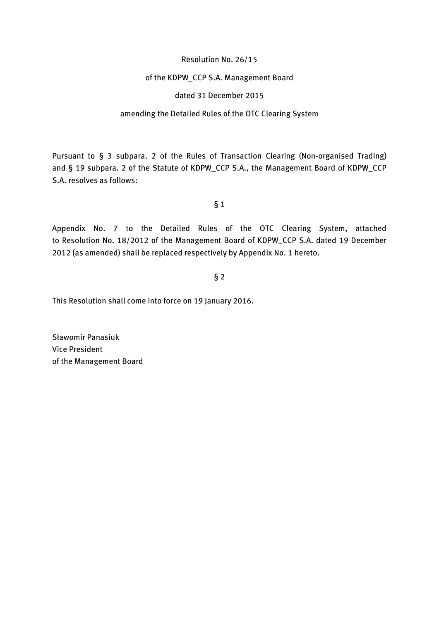#### Resolution No. 26/15

### of the KDPW\_CCP S.A. Management Board

### dated 31 December 2015

### amending the Detailed Rules of the OTC Clearing System

Pursuant to § 3 subpara. 2 of the Rules of Transaction Clearing (Non-organised Trading) and § 19 subpara. 2 of the Statute of KDPW\_CCP S.A., the Management Board of KDPW\_CCP S.A. resolves as follows:

#### § 1

Appendix No. 7 to the Detailed Rules of the OTC Clearing System, attached to Resolution No. 18/2012 of the Management Board of KDPW\_CCP S.A. dated 19 December 2012 (as amended) shall be replaced respectively by Appendix No. 1 hereto.

## § 2

This Resolution shall come into force on 19 January 2016.

Sławomir Panasiuk Vice President of the Management Board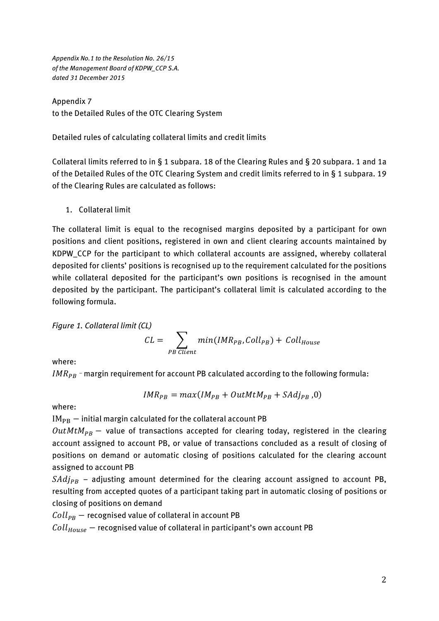*Appendix No.1 to the Resolution No. 26/15 of the Management Board of KDPW\_CCP S.A. dated 31 December 2015*

Appendix 7 to the Detailed Rules of the OTC Clearing System

Detailed rules of calculating collateral limits and credit limits

Collateral limits referred to in § 1 subpara. 18 of the Clearing Rules and § 20 subpara. 1 and 1a of the Detailed Rules of the OTC Clearing System and credit limits referred to in § 1 subpara. 19 of the Clearing Rules are calculated as follows:

1. Collateral limit

The collateral limit is equal to the recognised margins deposited by a participant for own positions and client positions, registered in own and client clearing accounts maintained by KDPW\_CCP for the participant to which collateral accounts are assigned, whereby collateral deposited for clients' positions is recognised up to the requirement calculated for the positions while collateral deposited for the participant's own positions is recognised in the amount deposited by the participant. The participant's collateral limit is calculated according to the following formula.

*Figure 1. Collateral limit (CL)*

$$
CL = \sum_{PB \; Client} min(IMR_{PB}, Coll_{PB}) + Coll_{House}
$$

where:

 $IMR_{PB}$  - margin requirement for account PB calculated according to the following formula:

$$
IMR_{PB} = max(IM_{PB} + OutMtM_{PB} + SAdj_{PB}, 0)
$$

where:

 $IM_{PB}$  – initial margin calculated for the collateral account PB

 $OutMtM_{PR}$  – value of transactions accepted for clearing today, registered in the clearing account assigned to account PB, or value of transactions concluded as a result of closing of positions on demand or automatic closing of positions calculated for the clearing account assigned to account PB

 $SAdj_{PB}$  – adjusting amount determined for the clearing account assigned to account PB, resulting from accepted quotes of a participant taking part in automatic closing of positions or closing of positions on demand

 $Coll_{PB}$  – recognised value of collateral in account PB

 $\textit{Coll}_\textit{House}$  – recognised value of collateral in participant's own account PB